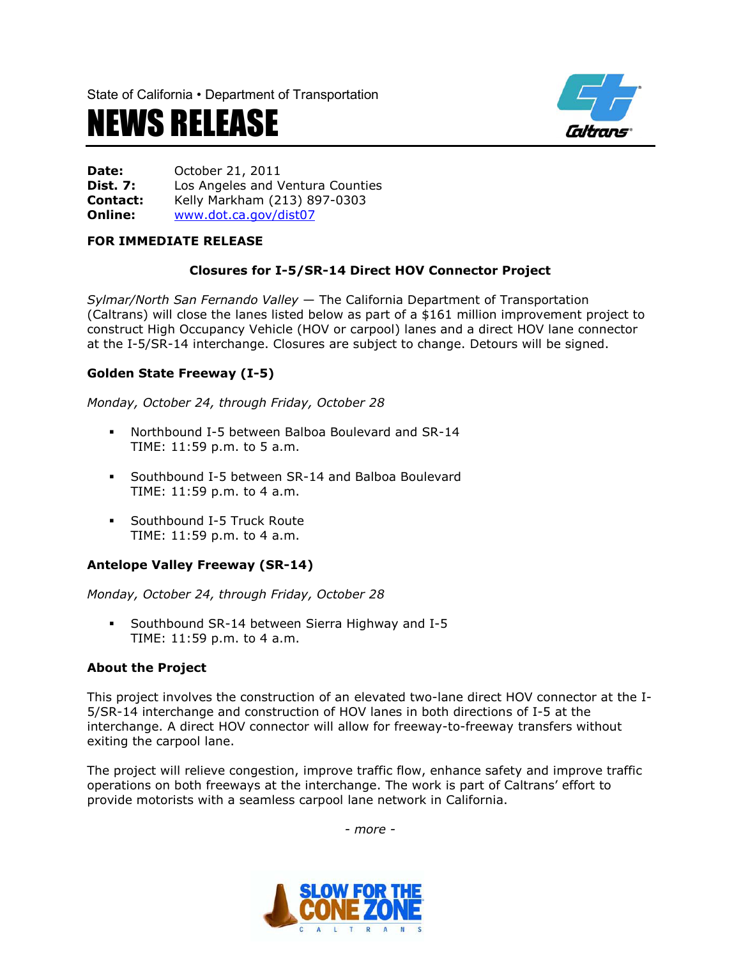State of California • Department of Transportation

# NEWS RELEASE



**Date:** October 21, 2011 **Dist. 7:** Los Angeles and Ventura Counties **Contact:** Kelly Markham (213) 897-0303 **Online:** [www.dot.ca.gov/dist07](http://www.dot.ca.gov/dist07)

#### **FOR IMMEDIATE RELEASE**

## **Closures for I-5/SR-14 Direct HOV Connector Project**

*Sylmar/North San Fernando Valley* — The California Department of Transportation (Caltrans) will close the lanes listed below as part of a \$161 million improvement project to construct High Occupancy Vehicle (HOV or carpool) lanes and a direct HOV lane connector at the I-5/SR-14 interchange. Closures are subject to change. Detours will be signed.

### **Golden State Freeway (I-5)**

*Monday, October 24, through Friday, October 28*

- Northbound I-5 between Balboa Boulevard and SR-14 TIME: 11:59 p.m. to 5 a.m.
- Southbound I-5 between SR-14 and Balboa Boulevard TIME: 11:59 p.m. to 4 a.m.
- **Southbound I-5 Truck Route** TIME: 11:59 p.m. to 4 a.m.

### **Antelope Valley Freeway (SR-14)**

*Monday, October 24, through Friday, October 28*

 Southbound SR-14 between Sierra Highway and I-5 TIME: 11:59 p.m. to 4 a.m.

#### **About the Project**

This project involves the construction of an elevated two-lane direct HOV connector at the I-5/SR-14 interchange and construction of HOV lanes in both directions of I-5 at the interchange. A direct HOV connector will allow for freeway-to-freeway transfers without exiting the carpool lane.

The project will relieve congestion, improve traffic flow, enhance safety and improve traffic operations on both freeways at the interchange. The work is part of Caltrans' effort to provide motorists with a seamless carpool lane network in California.

*- more -*